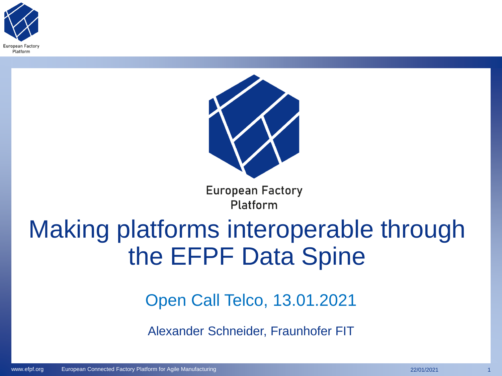



**European Factory** Platform

### Making platforms interoperable through the EFPF Data Spine

Open Call Telco, 13.01.2021

Alexander Schneider, Fraunhofer FIT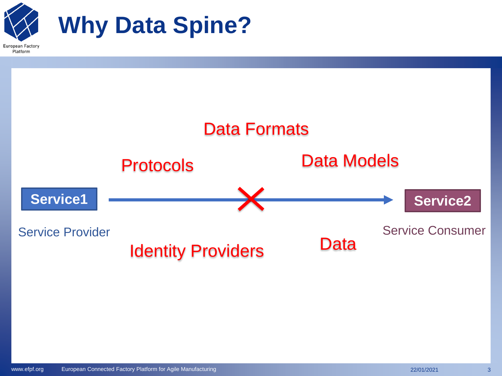

Platform

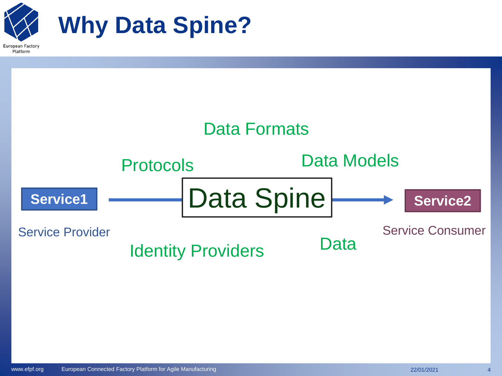

Platform

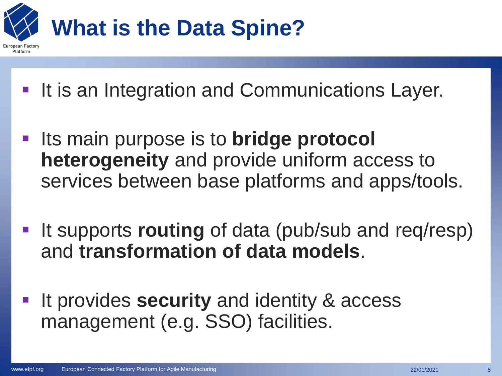

- **It is an Integration and Communications Layer.**
- **Example 15 main purpose is to bridge protocol heterogeneity** and provide uniform access to services between base platforms and apps/tools.
- **.** It supports **routing** of data (pub/sub and req/resp) and **transformation of data models**.
- It provides **security** and identity & access management (e.g. SSO) facilities.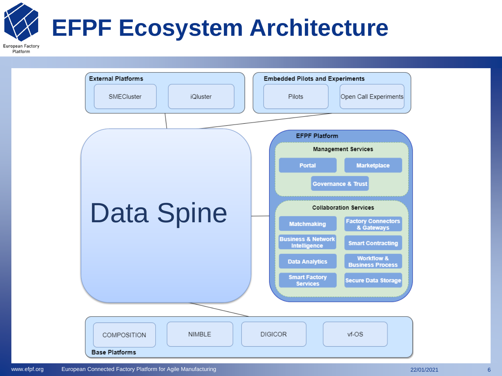## **EFPF Ecosystem Architecture**

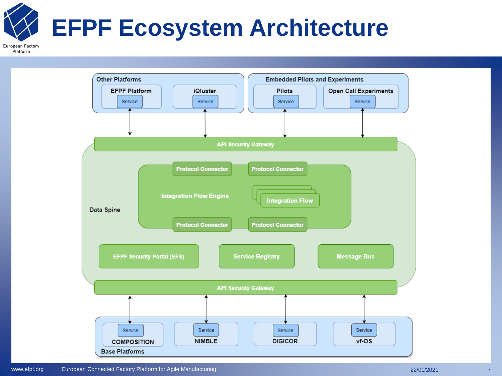# **EFPF Ecosystem Architecture**

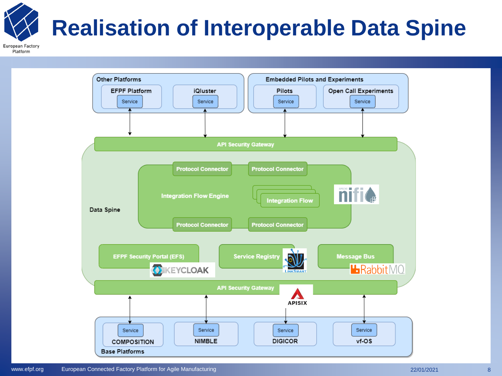# **Realisation of Interoperable Data Spine**

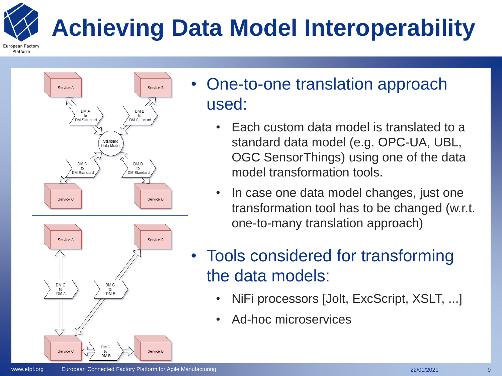### **Achieving Data Model Interoperability**





- One-to-one translation approach used:
	- Each custom data model is translated to a standard data model (e.g. OPC-UA, UBL, OGC SensorThings) using one of the data model transformation tools.
	- In case one data model changes, just one transformation tool has to be changed (w.r.t. one-to-many translation approach)
- Tools considered for transforming the data models:
	- NiFi processors [Jolt, ExcScript, XSLT, ...]
	- Ad-hoc microservices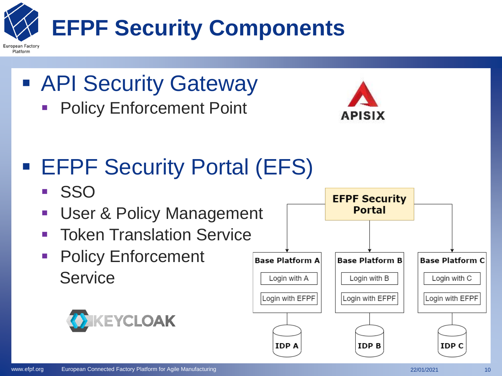

- API Security Gateway
	- **Policy Enforcement Point**



### **EFPF Security Portal (EFS)**

▪ SSO

Platform

- **User & Policy Management**
- **Token Translation Service**
- Policy Enforcement **Service**



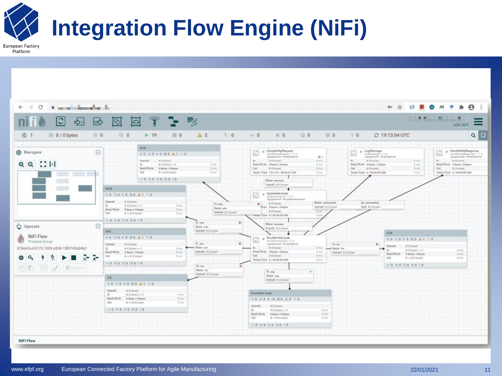

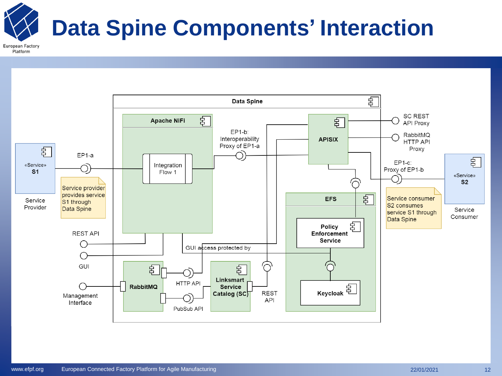### **Data Spine Components' Interaction**

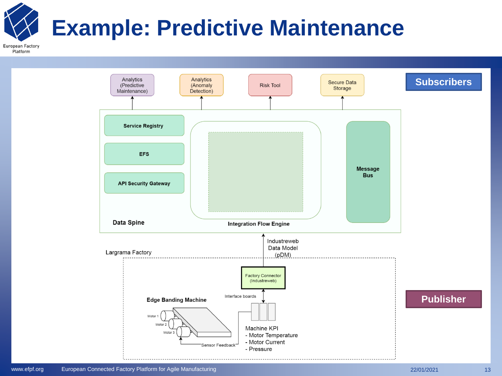### **Example: Predictive Maintenance**

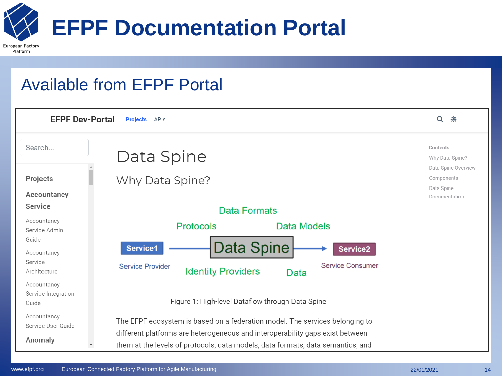

**European Factory** Platform

#### Available from EFPF Portal